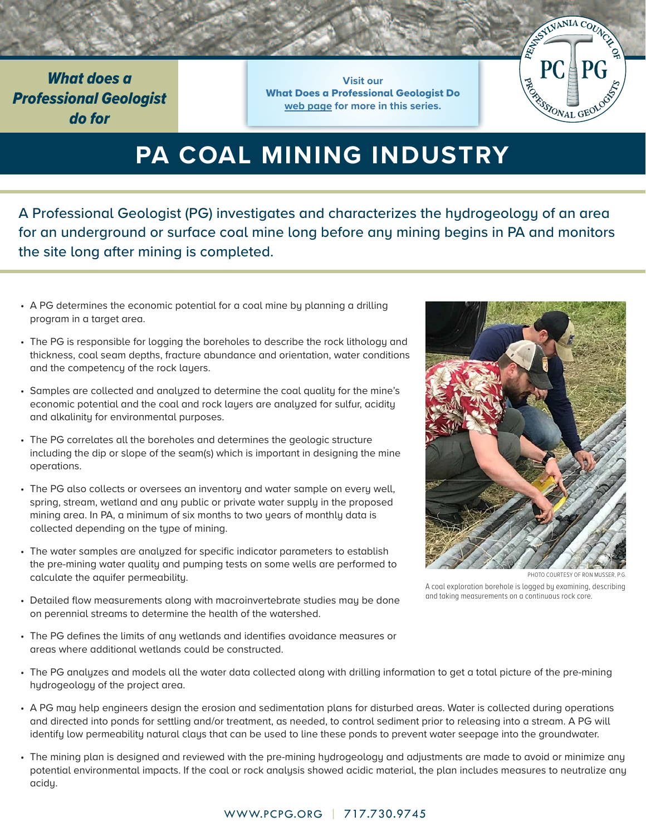*What does a Professional Geologist do for*

**Visit our** What Does a Professional Geologist Do **web page for more in this series.**



# **PA COAL MINING INDUSTRY**

A Professional Geologist (PG) investigates and characterizes the hydrogeology of an area for an underground or surface coal mine long before any mining begins in PA and monitors the site long after mining is completed.

- A PG determines the economic potential for a coal mine by planning a drilling program in a target area.
- The PG is responsible for logging the boreholes to describe the rock lithology and thickness, coal seam depths, fracture abundance and orientation, water conditions and the competency of the rock layers.
- Samples are collected and analyzed to determine the coal quality for the mine's economic potential and the coal and rock layers are analyzed for sulfur, acidity and alkalinity for environmental purposes.
- The PG correlates all the boreholes and determines the geologic structure including the dip or slope of the seam(s) which is important in designing the mine operations.
- The PG also collects or oversees an inventory and water sample on every well, spring, stream, wetland and any public or private water supply in the proposed mining area. In PA, a minimum of six months to two years of monthly data is collected depending on the type of mining.
- The water samples are analyzed for specific indicator parameters to establish the pre-mining water quality and pumping tests on some wells are performed to calculate the aquifer permeability.
- 

PHOTO COURTESY OF RON MUSSER, P.G.

A coal exploration borehole is logged by examining, describing and taking measurements on a continuous rock core.

- Detailed flow measurements along with macroinvertebrate studies may be done on perennial streams to determine the health of the watershed.
- The PG defines the limits of any wetlands and identifies avoidance measures or areas where additional wetlands could be constructed.
- The PG analyzes and models all the water data collected along with drilling information to get a total picture of the pre-mining hydrogeology of the project area.
- A PG may help engineers design the erosion and sedimentation plans for disturbed areas. Water is collected during operations and directed into ponds for settling and/or treatment, as needed, to control sediment prior to releasing into a stream. A PG will identify low permeability natural clays that can be used to line these ponds to prevent water seepage into the groundwater.
- The mining plan is designed and reviewed with the pre-mining hydrogeology and adjustments are made to avoid or minimize any potential environmental impacts. If the coal or rock analysis showed acidic material, the plan includes measures to neutralize any acidy.